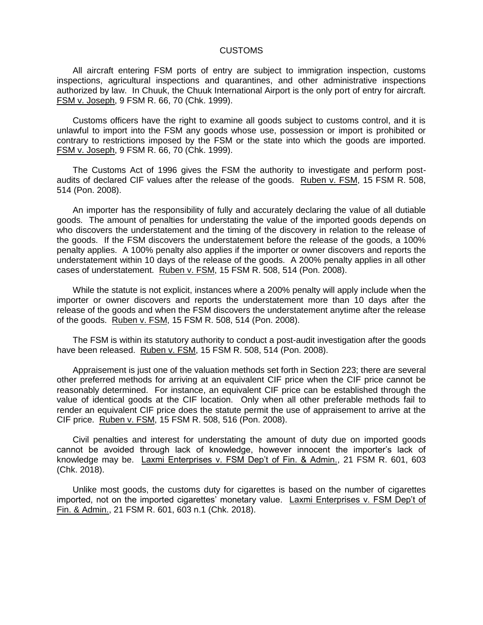## CUSTOMS

All aircraft entering FSM ports of entry are subject to immigration inspection, customs inspections, agricultural inspections and quarantines, and other administrative inspections authorized by law. In Chuuk, the Chuuk International Airport is the only port of entry for aircraft. FSM v. Joseph, 9 FSM R. 66, 70 (Chk. 1999).

Customs officers have the right to examine all goods subject to customs control, and it is unlawful to import into the FSM any goods whose use, possession or import is prohibited or contrary to restrictions imposed by the FSM or the state into which the goods are imported. FSM v. Joseph, 9 FSM R. 66, 70 (Chk. 1999).

The Customs Act of 1996 gives the FSM the authority to investigate and perform postaudits of declared CIF values after the release of the goods. Ruben v. FSM, 15 FSM R. 508, 514 (Pon. 2008).

An importer has the responsibility of fully and accurately declaring the value of all dutiable goods. The amount of penalties for understating the value of the imported goods depends on who discovers the understatement and the timing of the discovery in relation to the release of the goods. If the FSM discovers the understatement before the release of the goods, a 100% penalty applies. A 100% penalty also applies if the importer or owner discovers and reports the understatement within 10 days of the release of the goods. A 200% penalty applies in all other cases of understatement. Ruben v. FSM, 15 FSM R. 508, 514 (Pon. 2008).

While the statute is not explicit, instances where a 200% penalty will apply include when the importer or owner discovers and reports the understatement more than 10 days after the release of the goods and when the FSM discovers the understatement anytime after the release of the goods. Ruben v. FSM, 15 FSM R. 508, 514 (Pon. 2008).

The FSM is within its statutory authority to conduct a post-audit investigation after the goods have been released. Ruben v. FSM, 15 FSM R. 508, 514 (Pon. 2008).

Appraisement is just one of the valuation methods set forth in Section 223; there are several other preferred methods for arriving at an equivalent CIF price when the CIF price cannot be reasonably determined. For instance, an equivalent CIF price can be established through the value of identical goods at the CIF location. Only when all other preferable methods fail to render an equivalent CIF price does the statute permit the use of appraisement to arrive at the CIF price. Ruben v. FSM, 15 FSM R. 508, 516 (Pon. 2008).

Civil penalties and interest for understating the amount of duty due on imported goods cannot be avoided through lack of knowledge, however innocent the importer's lack of knowledge may be. Laxmi Enterprises v. FSM Dep't of Fin. & Admin., 21 FSM R. 601, 603 (Chk. 2018).

Unlike most goods, the customs duty for cigarettes is based on the number of cigarettes imported, not on the imported cigarettes' monetary value. Laxmi Enterprises v. FSM Dep't of Fin. & Admin., 21 FSM R. 601, 603 n.1 (Chk. 2018).